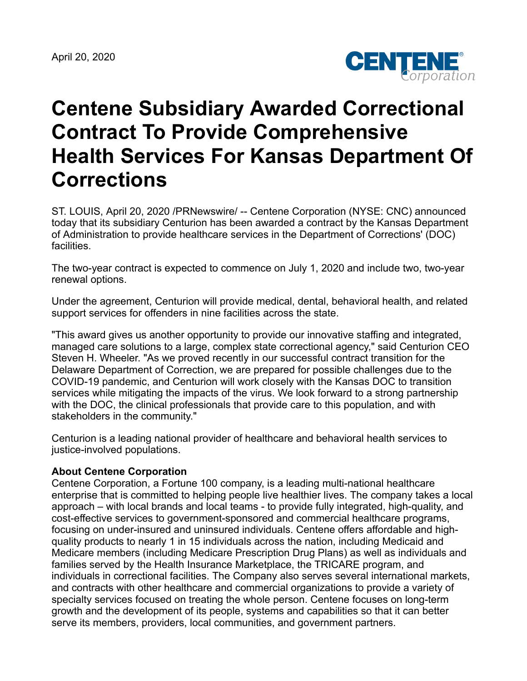

## **Centene Subsidiary Awarded Correctional Contract To Provide Comprehensive Health Services For Kansas Department Of Corrections**

ST. LOUIS, April 20, 2020 /PRNewswire/ -- Centene Corporation (NYSE: CNC) announced today that its subsidiary Centurion has been awarded a contract by the Kansas Department of Administration to provide healthcare services in the Department of Corrections' (DOC) facilities.

The two-year contract is expected to commence on July 1, 2020 and include two, two-year renewal options.

Under the agreement, Centurion will provide medical, dental, behavioral health, and related support services for offenders in nine facilities across the state.

"This award gives us another opportunity to provide our innovative staffing and integrated, managed care solutions to a large, complex state correctional agency," said Centurion CEO Steven H. Wheeler. "As we proved recently in our successful contract transition for the Delaware Department of Correction, we are prepared for possible challenges due to the COVID-19 pandemic, and Centurion will work closely with the Kansas DOC to transition services while mitigating the impacts of the virus. We look forward to a strong partnership with the DOC, the clinical professionals that provide care to this population, and with stakeholders in the community."

Centurion is a leading national provider of healthcare and behavioral health services to justice-involved populations.

## **About Centene Corporation**

Centene Corporation, a Fortune 100 company, is a leading multi-national healthcare enterprise that is committed to helping people live healthier lives. The company takes a local approach – with local brands and local teams - to provide fully integrated, high-quality, and cost-effective services to government-sponsored and commercial healthcare programs, focusing on under-insured and uninsured individuals. Centene offers affordable and highquality products to nearly 1 in 15 individuals across the nation, including Medicaid and Medicare members (including Medicare Prescription Drug Plans) as well as individuals and families served by the Health Insurance Marketplace, the TRICARE program, and individuals in correctional facilities. The Company also serves several international markets, and contracts with other healthcare and commercial organizations to provide a variety of specialty services focused on treating the whole person. Centene focuses on long-term growth and the development of its people, systems and capabilities so that it can better serve its members, providers, local communities, and government partners.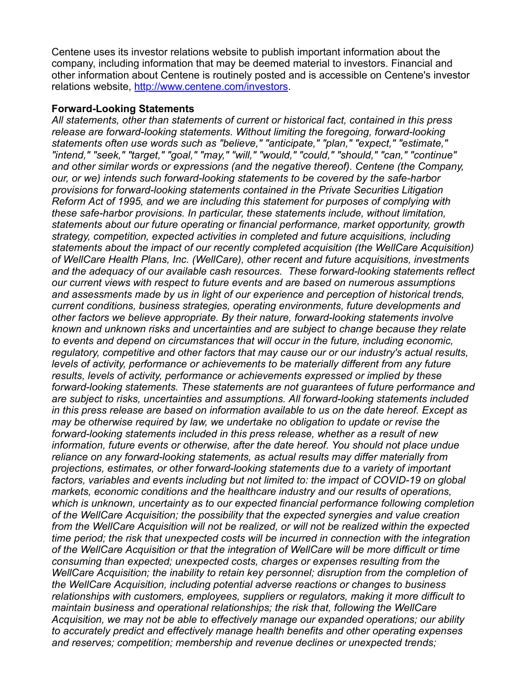Centene uses its investor relations website to publish important information about the company, including information that may be deemed material to investors. Financial and other information about Centene is routinely posted and is accessible on Centene's investor relations website, <http://www.centene.com/investors>.

## **Forward-Looking Statements**

*All statements, other than statements of current or historical fact, contained in this press release are forward-looking statements. Without limiting the foregoing, forward-looking statements often use words such as "believe," "anticipate," "plan," "expect," "estimate," "intend," "seek," "target," "goal," "may," "will," "would," "could," "should," "can," "continue" and other similar words or expressions (and the negative thereof). Centene (the Company, our, or we) intends such forward-looking statements to be covered by the safe-harbor provisions for forward-looking statements contained in the Private Securities Litigation Reform Act of 1995, and we are including this statement for purposes of complying with these safe-harbor provisions. In particular, these statements include, without limitation, statements about our future operating or financial performance, market opportunity, growth strategy, competition, expected activities in completed and future acquisitions, including statements about the impact of our recently completed acquisition (the WellCare Acquisition) of WellCare Health Plans, Inc. (WellCare), other recent and future acquisitions, investments and the adequacy of our available cash resources. These forward-looking statements reflect our current views with respect to future events and are based on numerous assumptions and assessments made by us in light of our experience and perception of historical trends, current conditions, business strategies, operating environments, future developments and other factors we believe appropriate. By their nature, forward-looking statements involve known and unknown risks and uncertainties and are subject to change because they relate to events and depend on circumstances that will occur in the future, including economic, regulatory, competitive and other factors that may cause our or our industry's actual results, levels of activity, performance or achievements to be materially different from any future results, levels of activity, performance or achievements expressed or implied by these forward-looking statements. These statements are not guarantees of future performance and are subject to risks, uncertainties and assumptions. All forward-looking statements included in this press release are based on information available to us on the date hereof. Except as may be otherwise required by law, we undertake no obligation to update or revise the forward-looking statements included in this press release, whether as a result of new information, future events or otherwise, after the date hereof. You should not place undue reliance on any forward-looking statements, as actual results may differ materially from projections, estimates, or other forward-looking statements due to a variety of important factors, variables and events including but not limited to: the impact of COVID-19 on global markets, economic conditions and the healthcare industry and our results of operations, which is unknown, uncertainty as to our expected financial performance following completion of the WellCare Acquisition; the possibility that the expected synergies and value creation from the WellCare Acquisition will not be realized, or will not be realized within the expected time period; the risk that unexpected costs will be incurred in connection with the integration of the WellCare Acquisition or that the integration of WellCare will be more difficult or time consuming than expected; unexpected costs, charges or expenses resulting from the WellCare Acquisition; the inability to retain key personnel; disruption from the completion of the WellCare Acquisition, including potential adverse reactions or changes to business relationships with customers, employees, suppliers or regulators, making it more difficult to maintain business and operational relationships; the risk that, following the WellCare Acquisition, we may not be able to effectively manage our expanded operations; our ability to accurately predict and effectively manage health benefits and other operating expenses and reserves; competition; membership and revenue declines or unexpected trends;*